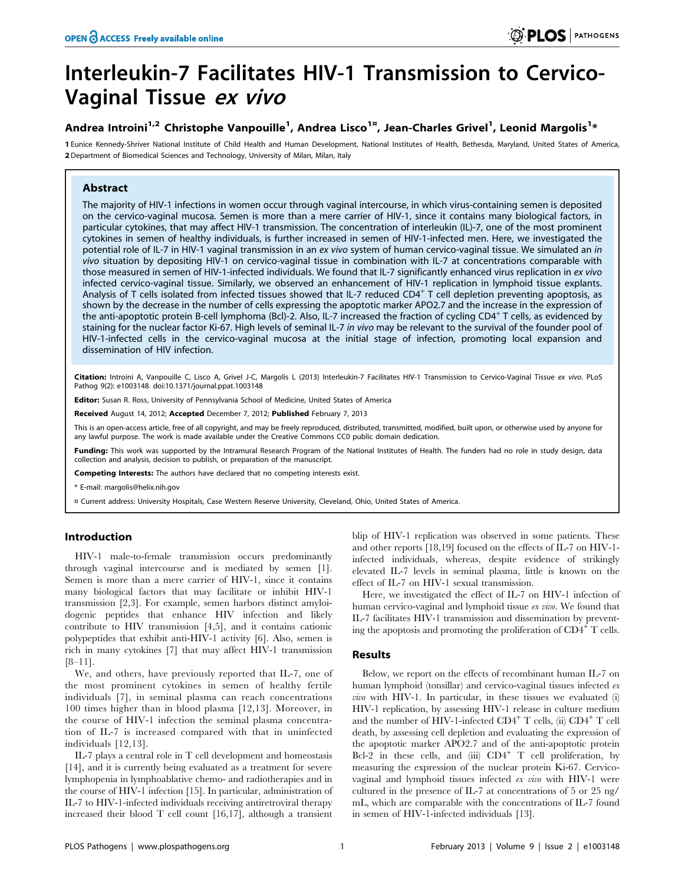# Interleukin-7 Facilitates HIV-1 Transmission to Cervico-Vaginal Tissue ex vivo

# Andrea Introini $^{1,2}$  Christophe Vanpouille $^1$ , Andrea Lisco $^{1}$ ¤, Jean-Charles Grivel $^1$ , Leonid Margolis $^{1\ast}$

1 Eunice Kennedy-Shriver National Institute of Child Health and Human Development, National Institutes of Health, Bethesda, Maryland, United States of America, 2 Department of Biomedical Sciences and Technology, University of Milan, Milan, Italy

# Abstract

The majority of HIV-1 infections in women occur through vaginal intercourse, in which virus-containing semen is deposited on the cervico-vaginal mucosa. Semen is more than a mere carrier of HIV-1, since it contains many biological factors, in particular cytokines, that may affect HIV-1 transmission. The concentration of interleukin (IL)-7, one of the most prominent cytokines in semen of healthy individuals, is further increased in semen of HIV-1-infected men. Here, we investigated the potential role of IL-7 in HIV-1 vaginal transmission in an ex vivo system of human cervico-vaginal tissue. We simulated an in vivo situation by depositing HIV-1 on cervico-vaginal tissue in combination with IL-7 at concentrations comparable with those measured in semen of HIV-1-infected individuals. We found that IL-7 significantly enhanced virus replication in ex vivo infected cervico-vaginal tissue. Similarly, we observed an enhancement of HIV-1 replication in lymphoid tissue explants. Analysis of T cells isolated from infected tissues showed that IL-7 reduced CD4<sup>+</sup> T cell depletion preventing apoptosis, as shown by the decrease in the number of cells expressing the apoptotic marker APO2.7 and the increase in the expression of the anti-apoptotic protein B-cell lymphoma (Bcl)-2. Also, IL-7 increased the fraction of cycling CD4<sup>+</sup> T cells, as evidenced by staining for the nuclear factor Ki-67. High levels of seminal IL-7 in vivo may be relevant to the survival of the founder pool of HIV-1-infected cells in the cervico-vaginal mucosa at the initial stage of infection, promoting local expansion and dissemination of HIV infection.

Citation: Introini A, Vanpouille C, Lisco A, Grivel J-C, Margolis L (2013) Interleukin-7 Facilitates HIV-1 Transmission to Cervico-Vaginal Tissue ex vivo. PLoS Pathog 9(2): e1003148. doi:10.1371/journal.ppat.1003148

Editor: Susan R. Ross, University of Pennsylvania School of Medicine, United States of America

Received August 14, 2012; Accepted December 7, 2012; Published February 7, 2013

This is an open-access article, free of all copyright, and may be freely reproduced, distributed, transmitted, modified, built upon, or otherwise used by anyone for any lawful purpose. The work is made available under the Creative Commons CC0 public domain dedication.

Funding: This work was supported by the Intramural Research Program of the National Institutes of Health. The funders had no role in study design, data collection and analysis, decision to publish, or preparation of the manuscript.

Competing Interests: The authors have declared that no competing interests exist.

\* E-mail: margolis@helix.nih.gov

¤ Current address: University Hospitals, Case Western Reserve University, Cleveland, Ohio, United States of America.

# Introduction

HIV-1 male-to-female transmission occurs predominantly through vaginal intercourse and is mediated by semen [1]. Semen is more than a mere carrier of HIV-1, since it contains many biological factors that may facilitate or inhibit HIV-1 transmission [2,3]. For example, semen harbors distinct amyloidogenic peptides that enhance HIV infection and likely contribute to HIV transmission [4,5], and it contains cationic polypeptides that exhibit anti-HIV-1 activity [6]. Also, semen is rich in many cytokines [7] that may affect HIV-1 transmission [8–11].

We, and others, have previously reported that IL-7, one of the most prominent cytokines in semen of healthy fertile individuals [7], in seminal plasma can reach concentrations 100 times higher than in blood plasma [12,13]. Moreover, in the course of HIV-1 infection the seminal plasma concentration of IL-7 is increased compared with that in uninfected individuals [12,13].

IL-7 plays a central role in T cell development and homeostasis [14], and it is currently being evaluated as a treatment for severe lymphopenia in lymphoablative chemo- and radiotherapies and in the course of HIV-1 infection [15]. In particular, administration of IL-7 to HIV-1-infected individuals receiving antiretroviral therapy increased their blood T cell count [16,17], although a transient

blip of HIV-1 replication was observed in some patients. These and other reports [18,19] focused on the effects of IL-7 on HIV-1 infected individuals, whereas, despite evidence of strikingly elevated IL-7 levels in seminal plasma, little is known on the effect of IL-7 on HIV-1 sexual transmission.

Here, we investigated the effect of IL-7 on HIV-1 infection of human cervico-vaginal and lymphoid tissue ex vivo. We found that IL-7 facilitates HIV-1 transmission and dissemination by preventing the apoptosis and promoting the proliferation of  $CD4^+$  T cells.

## Results

Below, we report on the effects of recombinant human IL-7 on human lymphoid (tonsillar) and cervico-vaginal tissues infected ex vivo with HIV-1. In particular, in these tissues we evaluated (i) HIV-1 replication, by assessing HIV-1 release in culture medium and the number of HIV-1-infected  $CD4^+$  T cells, (ii)  $CD4^+$  T cell death, by assessing cell depletion and evaluating the expression of the apoptotic marker APO2.7 and of the anti-apoptotic protein Bcl-2 in these cells, and (iii)  $CD4^+$  T cell proliferation, by measuring the expression of the nuclear protein Ki-67. Cervicovaginal and lymphoid tissues infected ex vivo with HIV-1 were cultured in the presence of IL-7 at concentrations of 5 or 25 ng/ mL, which are comparable with the concentrations of IL-7 found in semen of HIV-1-infected individuals [13].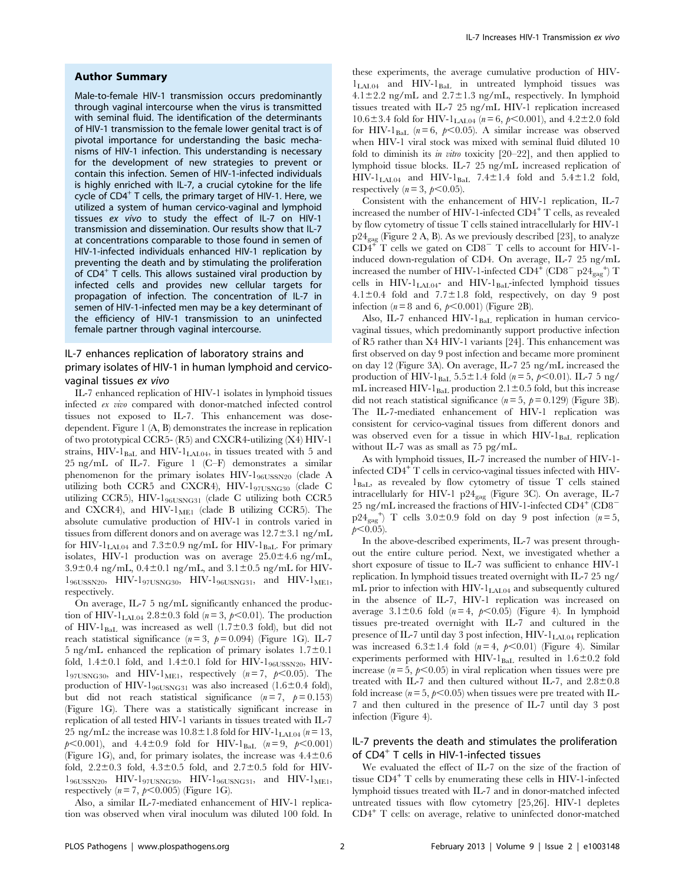## Author Summary

Male-to-female HIV-1 transmission occurs predominantly through vaginal intercourse when the virus is transmitted with seminal fluid. The identification of the determinants of HIV-1 transmission to the female lower genital tract is of pivotal importance for understanding the basic mechanisms of HIV-1 infection. This understanding is necessary for the development of new strategies to prevent or contain this infection. Semen of HIV-1-infected individuals is highly enriched with IL-7, a crucial cytokine for the life cycle of  $CD4^+$  T cells, the primary target of HIV-1. Here, we utilized a system of human cervico-vaginal and lymphoid tissues ex vivo to study the effect of IL-7 on HIV-1 transmission and dissemination. Our results show that IL-7 at concentrations comparable to those found in semen of HIV-1-infected individuals enhanced HIV-1 replication by preventing the death and by stimulating the proliferation of CD4<sup>+</sup> T cells. This allows sustained viral production by infected cells and provides new cellular targets for propagation of infection. The concentration of IL-7 in semen of HIV-1-infected men may be a key determinant of the efficiency of HIV-1 transmission to an uninfected female partner through vaginal intercourse.

# IL-7 enhances replication of laboratory strains and primary isolates of HIV-1 in human lymphoid and cervicovaginal tissues ex vivo

IL-7 enhanced replication of HIV-1 isolates in lymphoid tissues infected ex vivo compared with donor-matched infected control tissues not exposed to IL-7. This enhancement was dosedependent. Figure 1 (A, B) demonstrates the increase in replication of two prototypical CCR5- (R5) and CXCR4-utilizing (X4) HIV-1 strains,  $HIV-1<sub>BaL</sub>$  and  $HIV-1<sub>LAL04</sub>$ , in tissues treated with 5 and 25 ng/mL of IL-7. Figure 1 (C–F) demonstrates a similar phenomenon for the primary isolates HIV-196USSN20 (clade A utilizing both CCR5 and CXCR4), HIV-197USNG30 (clade C utilizing CCR5), HIV-196USNG31 (clade C utilizing both CCR5 and CXCR4), and HIV- $1_{\text{ME1}}$  (clade B utilizing CCR5). The absolute cumulative production of HIV-1 in controls varied in tissues from different donors and on average was  $12.7\pm3.1$  ng/mL for HIV- $1_{\text{LAI.04}}$  and  $7.3\pm0.9$  ng/mL for HIV- $1_{\text{BaL}}$ . For primary isolates, HIV-1 production was on average  $25.0 \pm 4.6$  ng/mL,  $3.9\pm0.4$  ng/mL,  $0.4\pm0.1$  ng/mL, and  $3.1\pm0.5$  ng/mL for HIV- $1_{96USSN20}$ , HIV- $1_{97USNG30}$ , HIV- $1_{96USNG31}$ , and HIV- $1_{ME1}$ , respectively.

On average, IL-7 5 ng/mL significantly enhanced the production of HIV-1<sub>LAL04</sub> 2.8 $\pm$ 0.3 fold (n = 3, p < 0.01). The production of HIV-1 $_{\text{BaL}}$  was increased as well (1.7 $\pm$ 0.3 fold), but did not reach statistical significance ( $n=3$ ,  $p=0.094$ ) (Figure 1G). IL-7 5 ng/mL enhanced the replication of primary isolates  $1.7\pm0.1$ fold,  $1.4\pm0.1$  fold, and  $1.4\pm0.1$  fold for HIV- $1_{96USSN20}$ , HIV- $1_{97USNG30}$ , and HIV- $1_{ME1}$ , respectively  $(n=7, p<0.05)$ . The production of HIV-1<sub>96USNG31</sub> was also increased (1.6 $\pm$ 0.4 fold), but did not reach statistical significance  $(n=7, p=0.153)$ (Figure 1G). There was a statistically significant increase in replication of all tested HIV-1 variants in tissues treated with IL-7 25 ng/mL: the increase was  $10.8 \pm 1.8$  fold for HIV-1<sub>LAL04</sub> (n = 13,  $p<0.001$ ), and  $4.4\pm0.9$  fold for HIV-1<sub>BaL</sub> (n = 9,  $p<0.001$ ) (Figure 1G), and, for primary isolates, the increase was  $4.4 \pm 0.6$ fold,  $2.2 \pm 0.3$  fold,  $4.3 \pm 0.5$  fold, and  $2.7 \pm 0.5$  fold for HIV- $1_{96USSN20}$ , HIV- $1_{97USNG30}$ , HIV- $1_{96USNG31}$ , and HIV- $1_{ME1}$ , respectively ( $n = 7$ ,  $p < 0.005$ ) (Figure 1G).

Also, a similar IL-7-mediated enhancement of HIV-1 replication was observed when viral inoculum was diluted 100 fold. In these experiments, the average cumulative production of HIV- $1_{\text{LAI}.04}$  and  $\text{HIV-1}_{\text{BaL}}$  in untreated lymphoid tissues was  $4.1\pm2.2$  ng/mL and  $2.7\pm1.3$  ng/mL, respectively. In lymphoid tissues treated with IL-7 25 ng/mL HIV-1 replication increased 10.6±3.4 fold for HIV-1<sub>LAI.04</sub> ( $n = 6$ ,  $p < 0.001$ ), and 4.2±2.0 fold for HIV-1<sub>BaL</sub> ( $n = 6$ ,  $p < 0.05$ ). A similar increase was observed when HIV-1 viral stock was mixed with seminal fluid diluted 10 fold to diminish its in vitro toxicity  $[20-22]$ , and then applied to lymphoid tissue blocks. IL-7 25 ng/mL increased replication of HIV- $1_{\text{LAL04}}$  and HIV- $1_{\text{Bal}}$  7.4 $\pm$ 1.4 fold and 5.4 $\pm$ 1.2 fold, respectively ( $n = 3$ ,  $p < 0.05$ ).

Consistent with the enhancement of HIV-1 replication, IL-7 increased the number of HIV-1-infected CD4<sup>+</sup> T cells, as revealed by flow cytometry of tissue T cells stained intracellularly for HIV-1  $\rm p24_{\rm{gag}}$  (Figure 2 A, B). As we previously described [23], to analyze  $CD4^+$  T cells we gated on  $CD8^-$  T cells to account for HIV-1induced down-regulation of CD4. On average, IL-7 25 ng/mL increased the number of HIV-1-infected  $CD4^+$  (CD8<sup>-</sup> p24 $_{\text{gag}}^+$ ) T cells in  $HIV-I<sub>LAI.04</sub>$ - and  $HIV-I<sub>BaL</sub>$ -infected lymphoid tissues  $4.1\pm0.4$  fold and  $7.7\pm1.8$  fold, respectively, on day 9 post infection ( $n=8$  and 6,  $p<0.001$ ) (Figure 2B).

Also, IL-7 enhanced HIV-1 $_{\text{Bal}}$  replication in human cervicovaginal tissues, which predominantly support productive infection of R5 rather than X4 HIV-1 variants [24]. This enhancement was first observed on day 9 post infection and became more prominent on day 12 (Figure 3A). On average, IL-7 25 ng/mL increased the production of HIV-1<sub>BaL</sub> 5.5 $\pm$ 1.4 fold (n = 5, p<0.01). IL-7 5 ng/ mL increased HIV-1 $_{\text{BaL}}$  production 2.1 $\pm$ 0.5 fold, but this increase did not reach statistical significance ( $n = 5$ ,  $p = 0.129$ ) (Figure 3B). The IL-7-mediated enhancement of HIV-1 replication was consistent for cervico-vaginal tissues from different donors and was observed even for a tissue in which  $HIV-I<sub>BaL</sub>$  replication without IL-7 was as small as 75 pg/mL.

As with lymphoid tissues, IL-7 increased the number of HIV-1 infected CD4<sup>+</sup> T cells in cervico-vaginal tissues infected with HIV- $1_{\text{Bal}}$ , as revealed by flow cytometry of tissue T cells stained intracellularly for HIV-1  $p24_{\text{gag}}$  (Figure 3C). On average, IL-7 25 ng/mL increased the fractions of HIV-1-infected  $CD4^+$  (CD8<sup>-</sup>  $p24_{\text{gag}}^{+}$  T cells 3.0±0.9 fold on day 9 post infection  $(n=5,$  $p<0.05$ ).

In the above-described experiments, IL-7 was present throughout the entire culture period. Next, we investigated whether a short exposure of tissue to IL-7 was sufficient to enhance HIV-1 replication. In lymphoid tissues treated overnight with IL-7 25 ng/ mL prior to infection with  $HIV-I<sub>LAI.04</sub>$  and subsequently cultured in the absence of IL-7, HIV-1 replication was increased on average  $3.1\pm0.6$  fold  $(n=4, p<0.05)$  (Figure 4). In lymphoid tissues pre-treated overnight with IL-7 and cultured in the presence of IL-7 until day 3 post infection,  $HIV-I<sub>LAL04</sub>$  replication was increased  $6.3 \pm 1.4$  fold (n = 4, p < 0.01) (Figure 4). Similar experiments performed with HIV-1 $_{\text{BaL}}$  resulted in 1.6±0.2 fold increase ( $n = 5$ ,  $p < 0.05$ ) in viral replication when tissues were pre treated with IL-7 and then cultured without IL-7, and  $2.8\pm0.8$ fold increase ( $n = 5$ ,  $p < 0.05$ ) when tissues were pre treated with IL-7 and then cultured in the presence of IL-7 until day 3 post infection (Figure 4).

# IL-7 prevents the death and stimulates the proliferation of CD4<sup>+</sup> T cells in HIV-1-infected tissues

We evaluated the effect of IL-7 on the size of the fraction of tissue  $CD4^+$  T cells by enumerating these cells in HIV-1-infected lymphoid tissues treated with IL-7 and in donor-matched infected untreated tissues with flow cytometry [25,26]. HIV-1 depletes CD4<sup>+</sup> T cells: on average, relative to uninfected donor-matched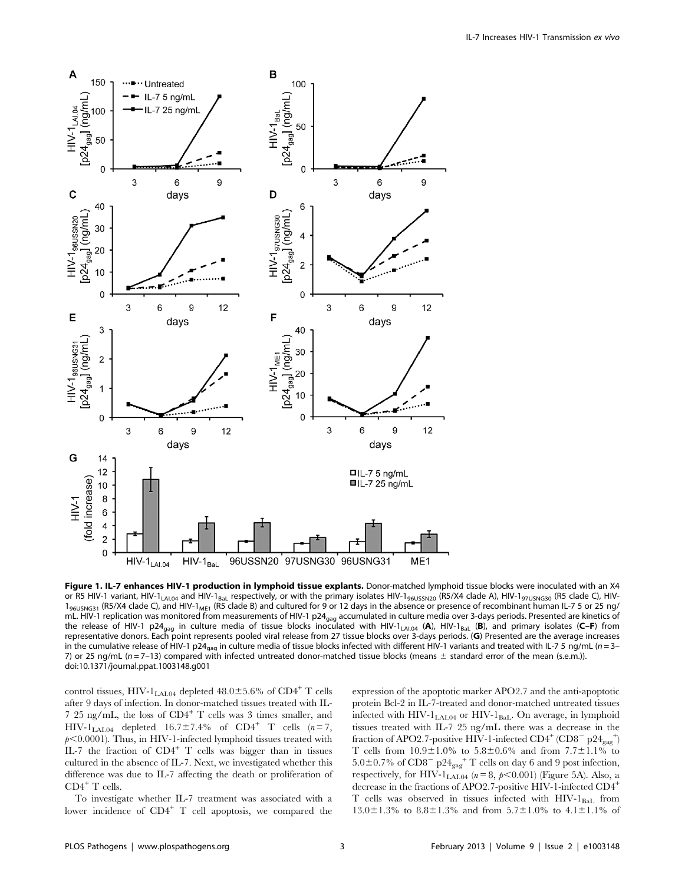

Figure 1. IL-7 enhances HIV-1 production in lymphoid tissue explants. Donor-matched lymphoid tissue blocks were inoculated with an X4 or R5 HIV-1 variant, HIV-1<sub>LAI.04</sub> and HIV-1<sub>BaL</sub> respectively, or with the primary isolates HIV-1<sub>96USSN20</sub> (R5/X4 clade A), HIV-1<sub>97USNG30</sub> (R5 clade C), HIV- $1_{96USNG31}$  (R5/X4 clade C), and HIV-1<sub>ME1</sub> (R5 clade B) and cultured for 9 or 12 days in the absence or presence of recombinant human IL-7 5 or 25 ng/ mL. HIV-1 replication was monitored from measurements of HIV-1 p24<sub>gag</sub> accumulated in culture media over 3-days periods. Presented are kinetics of the release of HIV-1 p24<sub>gag</sub> in culture media of tissue blocks inoculated with HIV-1<sub>LAI.04</sub> (A), HIV-1<sub>BaL</sub> (B), and primary isolates (C–F) from representative donors. Each point represents pooled viral release from 27 tissue blocks over 3-days periods. (G) Presented are the average increases in the cumulative release of HIV-1 p24<sub>gag</sub> in culture media of tissue blocks infected with different HIV-1 variants and treated with IL-7 5 ng/mL (n = 3– 7) or 25 ng/mL ( $n = 7-13$ ) compared with infected untreated donor-matched tissue blocks (means  $\pm$  standard error of the mean (s.e.m.)). doi:10.1371/journal.ppat.1003148.g001

control tissues, HIV-1<sub>LAL04</sub> depleted  $48.0 \pm 5.6\%$  of CD4<sup>+</sup> T cells after 9 days of infection. In donor-matched tissues treated with IL-7 25 ng/mL, the loss of CD4<sup>+</sup> T cells was 3 times smaller, and  $HIV-1<sub>LAL04</sub>$  depleted  $16.7\pm7.4\%$  of CD4<sup>+</sup> T cells  $(n=7,$  $p<0.0001$ ). Thus, in HIV-1-infected lymphoid tissues treated with IL-7 the fraction of  $CD4^+$  T cells was bigger than in tissues cultured in the absence of IL-7. Next, we investigated whether this difference was due to IL-7 affecting the death or proliferation of  $\text{CD4}^+$  T cells.

To investigate whether IL-7 treatment was associated with a lower incidence of  $CD4^+$  T cell apoptosis, we compared the

expression of the apoptotic marker APO2.7 and the anti-apoptotic protein Bcl-2 in IL-7-treated and donor-matched untreated tissues infected with  $HIV-1_{IAL04}$  or  $HIV-1_{BaI}$ . On average, in lymphoid tissues treated with IL-7 25 ng/mL there was a decrease in the fraction of APO2.7-positive HIV-1-infected  $CD4^+$  (CD8<sup>-</sup> p24<sub>gag</sub><sup>+</sup>) T cells from  $10.9 \pm 1.0$ % to  $5.8 \pm 0.6$ % and from  $7.7 \pm 1.1$ % to  $5.0\pm0.7\%$  of  $CD8^{-}$  p24<sub>gag</sub><sup>+</sup> T cells on day 6 and 9 post infection, respectively, for HIV- $1_{\text{LAI.04}}$  ( $n = 8$ ,  $p < 0.001$ ) (Figure 5A). Also, a decrease in the fractions of APO2.7-positive HIV-1-infected CD4<sup>+</sup> T cells was observed in tissues infected with  $HIV-I<sub>BaL</sub>$  from  $13.0\pm1.3\%$  to  $8.8\pm1.3\%$  and from  $5.7\pm1.0\%$  to  $4.1\pm1.1\%$  of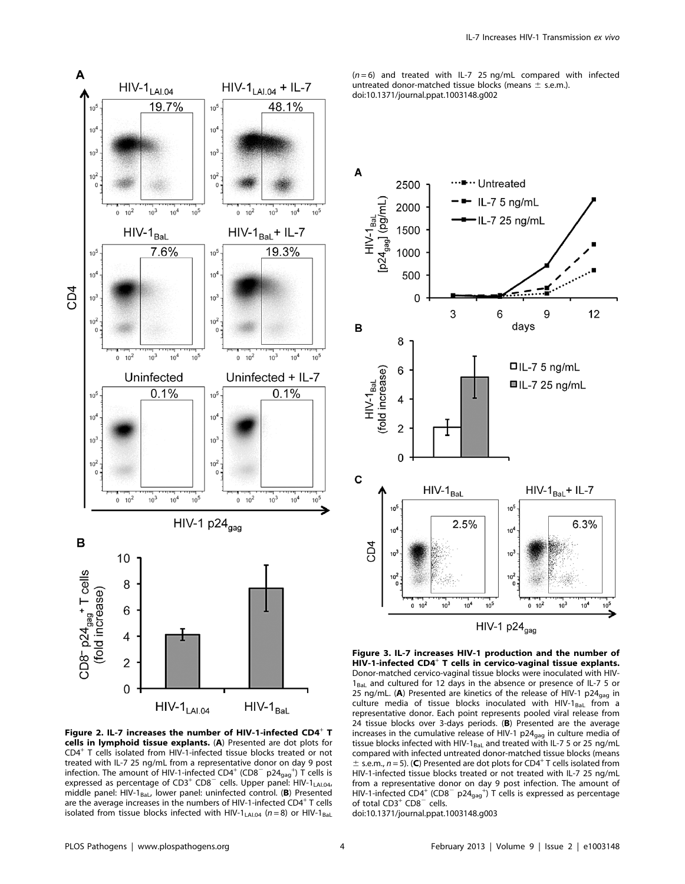

Figure 2. IL-7 increases the number of HIV-1-infected  $CD4^+$  T cells in lymphoid tissue explants. (A) Presented are dot plots for CD4<sup>+</sup> T cells isolated from HIV-1-infected tissue blocks treated or not treated with IL-7 25 ng/mL from a representative donor on day 9 post infection. The amount of HIV-1-infected CD4<sup>+</sup> (CD8<sup>-</sup> p24<sub>gag</sub><sup>+</sup>) T cells is expressed as percentage of  $CD3^+$   $CD8^-$  cells. Upper panel:  $HIV-1_{LALO4}$ , middle panel: HIV-1 $_{\text{Bal}}$ , lower panel: uninfected control. (B) Presented are the average increases in the numbers of HIV-1-infected CD4<sup>+</sup> T cells isolated from tissue blocks infected with HIV-1<sub>LAL04</sub> ( $n = 8$ ) or HIV-1<sub>BaL</sub>

 $(n=6)$  and treated with IL-7 25 ng/mL compared with infected untreated donor-matched tissue blocks (means  $\pm$  s.e.m.). doi:10.1371/journal.ppat.1003148.g002



Figure 3. IL-7 increases HIV-1 production and the number of HIV-1-infected CD4<sup>+</sup> T cells in cervico-vaginal tissue explants. Donor-matched cervico-vaginal tissue blocks were inoculated with HIV- $1_{\text{Bal}}$  and cultured for 12 days in the absence or presence of IL-7 5 or 25 ng/mL. (A) Presented are kinetics of the release of HIV-1 p24 $_{\text{gag}}$  in culture media of tissue blocks inoculated with HIV-1 $_{\text{Bal}}$  from a representative donor. Each point represents pooled viral release from 24 tissue blocks over 3-days periods. (B) Presented are the average increases in the cumulative release of HIV-1  $p24_{\text{gag}}$  in culture media of tissue blocks infected with HIV-1<sub>BaL</sub> and treated with IL-7 5 or 25 ng/mL compared with infected untreated donor-matched tissue blocks (means  $\pm$  s.e.m., n = 5). (C) Presented are dot plots for CD4<sup>+</sup> T cells isolated from HIV-1-infected tissue blocks treated or not treated with IL-7 25 ng/mL from a representative donor on day 9 post infection. The amount of HIV-1-infected CD4<sup>+</sup> (CD8<sup>-</sup> p24<sub>gag</sub><sup>+</sup>) T cells is expressed as percentage of total  $CD3^+$  CD8<sup> $-$ </sup> cells. doi:10.1371/journal.ppat.1003148.g003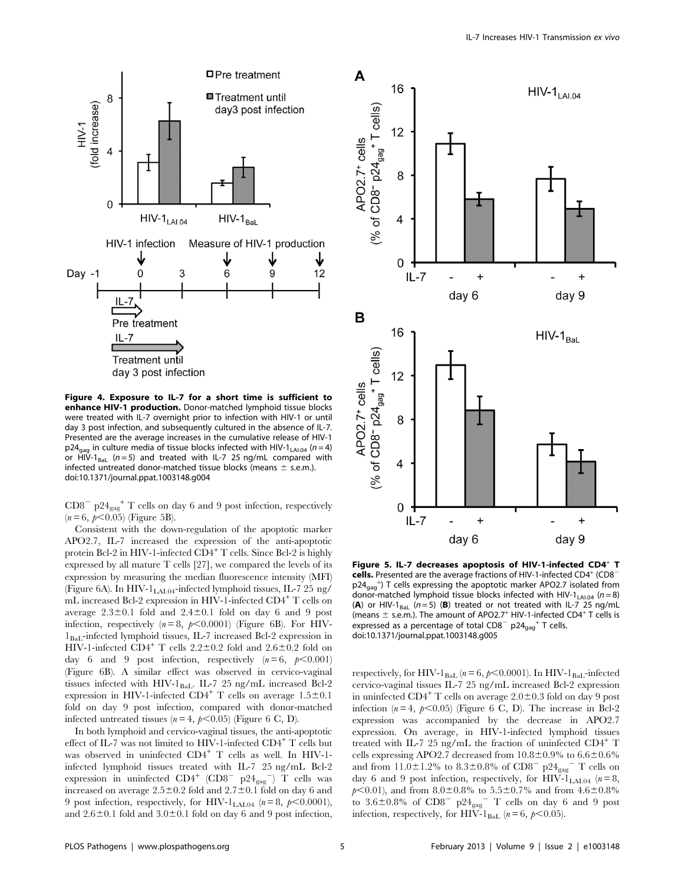

Figure 4. Exposure to IL-7 for a short time is sufficient to enhance HIV-1 production. Donor-matched lymphoid tissue blocks were treated with IL-7 overnight prior to infection with HIV-1 or until day 3 post infection, and subsequently cultured in the absence of IL-7. Presented are the average increases in the cumulative release of HIV-1  $p24_{\text{aaa}}$  in culture media of tissue blocks infected with HIV-1<sub>LAI.04</sub> ( $n = 4$ ) or  $\overline{HIV}$ -1<sub>BaL</sub> (n = 5) and treated with IL-7 25 ng/mL compared with infected untreated donor-matched tissue blocks (means  $\pm$  s.e.m.). doi:10.1371/journal.ppat.1003148.g004

 $CD8^{-}$  p24 $_{\text{gag}}$ <sup>+</sup> T cells on day 6 and 9 post infection, respectively  $(n = 6, p < 0.05)$  (Figure 5B).

Consistent with the down-regulation of the apoptotic marker APO2.7, IL-7 increased the expression of the anti-apoptotic protein Bcl-2 in HIV-1-infected  $CD4^+$  T cells. Since Bcl-2 is highly expressed by all mature T cells [27], we compared the levels of its expression by measuring the median fluorescence intensity (MFI) (Figure 6A). In HIV- $1_{IAL04}$ -infected lymphoid tissues, IL-7 25 ng/ mL increased Bcl-2 expression in HIV-1-infected CD4<sup>+</sup> T cells on average  $2.3\pm0.1$  fold and  $2.4\pm0.1$  fold on day 6 and 9 post infection, respectively  $(n=8, p<0.0001)$  (Figure 6B). For HIV- $1_{\text{BaI}}$ -infected lymphoid tissues, IL-7 increased Bcl-2 expression in HIV-1-infected CD4<sup>+</sup> T cells  $2.2 \pm 0.2$  fold and  $2.6 \pm 0.2$  fold on day 6 and 9 post infection, respectively  $(n=6, p<0.001)$ (Figure 6B). A similar effect was observed in cervico-vaginal tissues infected with HIV-1 $_{\rm BaL}$ . IL-7 25 ng/mL increased Bcl-2 expression in HIV-1-infected CD4<sup>+</sup> T cells on average  $1.5\pm0.1$ fold on day 9 post infection, compared with donor-matched infected untreated tissues ( $n = 4$ ,  $p < 0.05$ ) (Figure 6 C, D).

In both lymphoid and cervico-vaginal tissues, the anti-apoptotic effect of IL-7 was not limited to HIV-1-infected CD4<sup>+</sup> T cells but was observed in uninfected CD4<sup>+</sup> T cells as well. In HIV-1 infected lymphoid tissues treated with IL-7 25 ng/mL Bcl-2 expression in uninfected  $CD4^+$  (CD8<sup>-</sup> p24<sub>gag</sub><sup>-</sup>) T cells was increased on average  $2.5\pm0.2$  fold and  $2.7\pm0.1$  fold on day 6 and 9 post infection, respectively, for HIV- $1_{\text{LAL04}}$  ( $n=8$ ,  $p<0.0001$ ), and  $2.6\pm0.1$  fold and  $3.0\pm0.1$  fold on day 6 and 9 post infection,



Figure 5. IL-7 decreases apoptosis of HIV-1-infected CD4<sup>+</sup> T cells. Presented are the average fractions of HIV-1-infected CD4<sup>+</sup> (CD8<sup>-</sup> p24<sub>gag</sub><sup>+</sup>) T cells expressing the apoptotic marker APO2.7 isolated from donor-matched lymphoid tissue blocks infected with HIV-1<sub>LAI.04</sub> ( $n = 8$ ) (A) or HIV-1 $_{\text{Bal}}$  (n = 5) (B) treated or not treated with IL-7 25 ng/mL (means  $\pm$  s.e.m.). The amount of APO2.7<sup>+</sup> HIV-1-infected CD4<sup>+</sup> T cells is expressed as a percentage of total  $CDS^{-}$  p24 $_{gas}$ <sup>+</sup> T cells. doi:10.1371/journal.ppat.1003148.g005

respectively, for HIV-1 $_{\rm{BaL}}$  ( $n = 6$ ,  $p<0.0001$ ). In HIV-1 $_{\rm{BaL}}$ -infected cervico-vaginal tissues IL-7 25 ng/mL increased Bcl-2 expression in uninfected  $CD4^+$  T cells on average  $2.0\pm0.3$  fold on day 9 post infection ( $n = 4$ ,  $p < 0.05$ ) (Figure 6 C, D). The increase in Bcl-2 expression was accompanied by the decrease in APO2.7 expression. On average, in HIV-1-infected lymphoid tissues treated with IL-7 25 ng/mL the fraction of uninfected CD4<sup>+</sup> T cells expressing APO2.7 decreased from  $10.8\pm0.9\%$  to  $6.6\pm0.6\%$ and from  $11.0 \pm 1.2\%$  to  $8.3 \pm 0.8\%$  of CD8<sup>-</sup> p24<sub>gag</sub><sup>-</sup> T cells on day 6 and 9 post infection, respectively, for HIV- $1_{\text{LAL04}}$  ( $n = 8$ ,  $p<0.01$ ), and from 8.0±0.8% to 5.5±0.7% and from 4.6±0.8% to  $3.6\pm0.8\%$  of  $CD8^{-}$  p24<sub>gag</sub><sup>-</sup> T cells on day 6 and 9 post infection, respectively, for HIV-1<sub>BaL</sub>  $(n=6, p<0.05)$ .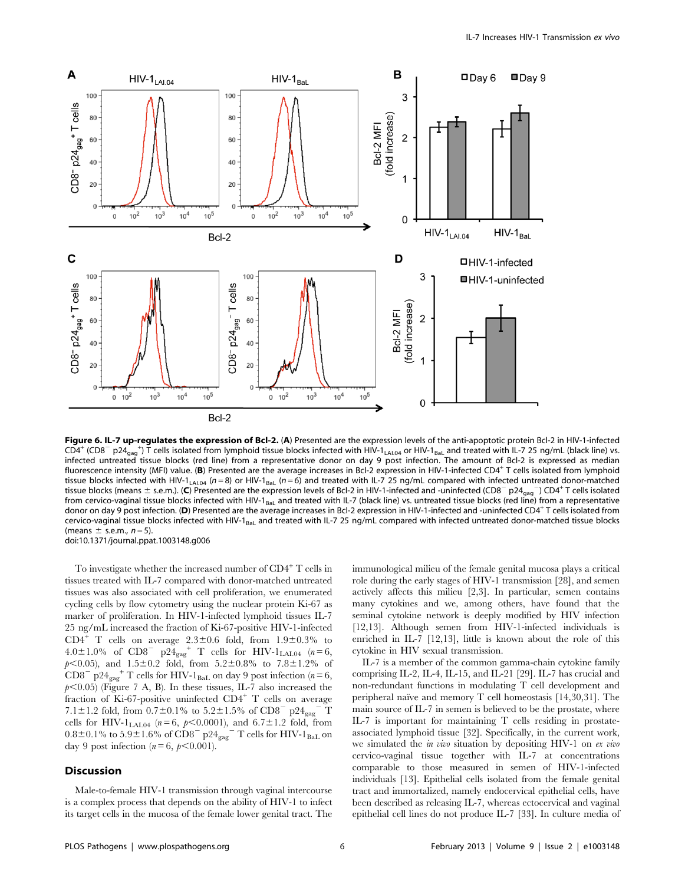

Figure 6. IL-7 up-regulates the expression of Bcl-2. (A) Presented are the expression levels of the anti-apoptotic protein Bcl-2 in HIV-1-infected  $CD4^+$  (CD8<sup>-</sup> p24<sub>gag</sub><sup>+</sup>) T cells isolated from lymphoid tissue blocks infected with HIV-1<sub>LAI.04</sub> or HIV-1<sub>BaL</sub> and treated with IL-7 25 ng/mL (black line) vs. infected untreated tissue blocks (red line) from a representative donor on day 9 post infection. The amount of Bcl-2 is expressed as median fluorescence intensity (MFI) value. (B) Presented are the average increases in Bcl-2 expression in HIV-1-infected CD4+ T cells isolated from lymphoid tissue blocks infected with HIV-1<sub>LAI.04</sub> ( $n = 8$ ) or HIV-1<sub>BaL</sub> ( $n = 6$ ) and treated with IL-7 25 ng/mL compared with infected untreated donor-matched tissue blocks (means  $\pm$  s.e.m.). (C) Presented are the expression levels of Bcl-2 in HIV-1-infected and -uninfected (CD8<sup>-</sup> p24<sub>gag</sub><sup>-</sup>) CD4<sup>+</sup> T cells isolated from cervico-vaginal tissue blocks infected with HIV-1 $_{\text{Bal}}$  and treated with IL-7 (black line) vs. untreated tissue blocks (red line) from a representative donor on day 9 post infection. (D) Presented are the average increases in Bcl-2 expression in HIV-1-infected and -uninfected CD4<sup>+</sup> T cells isolated from cervico-vaginal tissue blocks infected with HIV-1<sub>BaL</sub> and treated with IL-7 25 ng/mL compared with infected untreated donor-matched tissue blocks (means  $\pm$  s.e.m.,  $n = 5$ ). doi:10.1371/journal.ppat.1003148.g006

To investigate whether the increased number of  $CD4^+$  T cells in tissues treated with IL-7 compared with donor-matched untreated tissues was also associated with cell proliferation, we enumerated cycling cells by flow cytometry using the nuclear protein Ki-67 as marker of proliferation. In HIV-1-infected lymphoid tissues IL-7 25 ng/mL increased the fraction of Ki-67-positive HIV-1-infected  $CD4^+$  T cells on average  $2.3 \pm 0.6$  fold, from  $1.9 \pm 0.3\%$  to 4.0±1.0% of CD8<sup>-</sup> p24<sub>gag</sub><sup>+</sup> T cells for HIV-1<sub>LAI.04</sub> ( $n=6$ ,  $p<0.05$ ), and  $1.5\pm0.2$  fold, from  $5.2\pm0.8\%$  to  $7.8\pm1.2\%$  of  $CD8^{-}$  p24<sub>gag</sub><sup>+</sup> T cells for HIV-1<sub>BaL</sub> on day 9 post infection (n=6,  $p$ <0.05) (Figure 7 A, B). In these tissues, IL-7 also increased the fraction of Ki-67-positive uninfected  $CD4^+$  T cells on average 7.1±1.2 fold, from 0.7±0.1% to 5.2±1.5% of CD8<sup>-</sup> p24<sub>gag</sub><sup>-</sup> T cells for HIV-1<sub>LAL04</sub> ( $n = 6$ ,  $p < 0.0001$ ), and  $6.7 \pm 1.2$  fold, from  $0.8\pm0.1\%$  to  $5.9\pm1.6\%$  of  $\text{CD8}^{-}$   $\text{p24}_{\text{gag}}$   $^{-}$  T cells for HIV-1  $_{\text{BaL}}$  on day 9 post infection  $(n = 6, p < 0.001)$ .

### **Discussion**

Male-to-female HIV-1 transmission through vaginal intercourse is a complex process that depends on the ability of HIV-1 to infect its target cells in the mucosa of the female lower genital tract. The

immunological milieu of the female genital mucosa plays a critical role during the early stages of HIV-1 transmission [28], and semen actively affects this milieu [2,3]. In particular, semen contains many cytokines and we, among others, have found that the seminal cytokine network is deeply modified by HIV infection [12,13]. Although semen from HIV-1-infected individuals is enriched in IL-7 [12,13], little is known about the role of this cytokine in HIV sexual transmission.

IL-7 is a member of the common gamma-chain cytokine family comprising IL-2, IL-4, IL-15, and IL-21 [29]. IL-7 has crucial and non-redundant functions in modulating T cell development and peripheral naïve and memory T cell homeostasis  $[14,30,31]$ . The main source of IL-7 in semen is believed to be the prostate, where IL-7 is important for maintaining T cells residing in prostateassociated lymphoid tissue [32]. Specifically, in the current work, we simulated the *in vivo* situation by depositing HIV-1 on *ex vivo* cervico-vaginal tissue together with IL-7 at concentrations comparable to those measured in semen of HIV-1-infected individuals [13]. Epithelial cells isolated from the female genital tract and immortalized, namely endocervical epithelial cells, have been described as releasing IL-7, whereas ectocervical and vaginal epithelial cell lines do not produce IL-7 [33]. In culture media of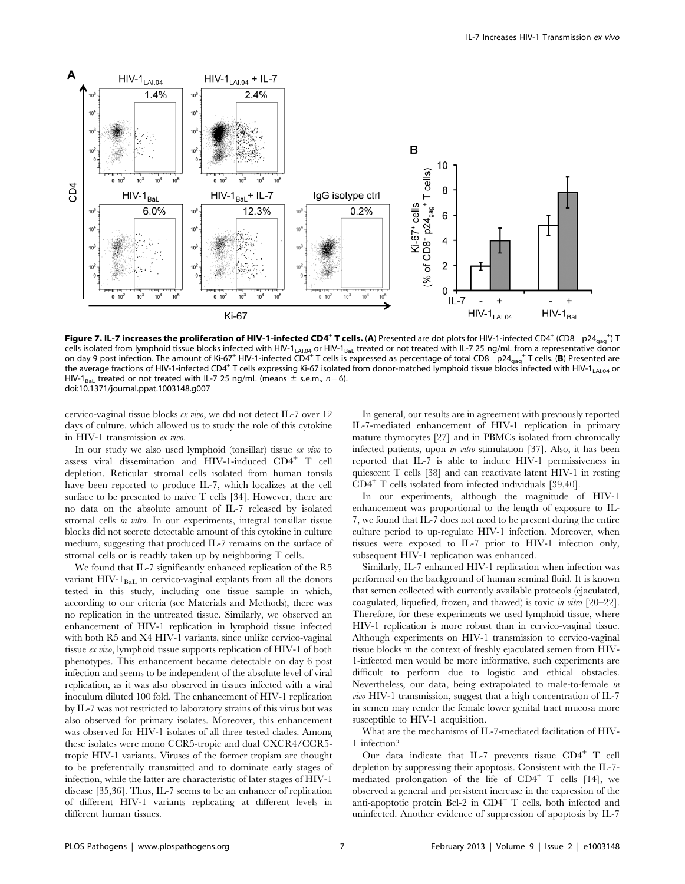

Figure 7. IL-7 increases the proliferation of HIV-1-infected CD4<sup>+</sup> T cells. (A) Presented are dot plots for HIV-1-infected CD4<sup>+</sup> (CD8<sup>-</sup> p24<sub>gag</sub><sup>+</sup>) T cells isolated from lymphoid tissue blocks infected with HIV-1<sub>LAI.04</sub> or HIV-1<sub>BaL</sub> treated or not treated with IL-7 25 ng/mL from a representative donor on day 9 post infection. The amount of Ki-67<sup>+</sup> HIV-1-infected CD4<sup>+</sup> T cells is expressed as percentage of total CD8<sup>-</sup> p24<sub>gag</sub><sup>+</sup> T cells. (B) Presented are the average fractions of HIV-1-infected CD4<sup>+</sup> T cells expressing Ki-67 isolated from donor-matched lymphoid tissue blocks infected with HIV-1<sub>LAI.04</sub> or HIV-1<sub>BaL</sub> treated or not treated with IL-7 25 ng/mL (means  $\pm$  s.e.m., n = 6). doi:10.1371/journal.ppat.1003148.g007

cervico-vaginal tissue blocks ex vivo, we did not detect IL-7 over 12 days of culture, which allowed us to study the role of this cytokine in HIV-1 transmission ex vivo.

In our study we also used lymphoid (tonsillar) tissue ex vivo to assess viral dissemination and HIV-1-induced CD4<sup>+</sup> T cell depletion. Reticular stromal cells isolated from human tonsils have been reported to produce IL-7, which localizes at the cell surface to be presented to naïve  $T$  cells [34]. However, there are no data on the absolute amount of IL-7 released by isolated stromal cells in vitro. In our experiments, integral tonsillar tissue blocks did not secrete detectable amount of this cytokine in culture medium, suggesting that produced IL-7 remains on the surface of stromal cells or is readily taken up by neighboring T cells.

We found that IL-7 significantly enhanced replication of the R5 variant HIV-1<sub>BaL</sub> in cervico-vaginal explants from all the donors tested in this study, including one tissue sample in which, according to our criteria (see Materials and Methods), there was no replication in the untreated tissue. Similarly, we observed an enhancement of HIV-1 replication in lymphoid tissue infected with both R5 and X4 HIV-1 variants, since unlike cervico-vaginal tissue ex vivo, lymphoid tissue supports replication of HIV-1 of both phenotypes. This enhancement became detectable on day 6 post infection and seems to be independent of the absolute level of viral replication, as it was also observed in tissues infected with a viral inoculum diluted 100 fold. The enhancement of HIV-1 replication by IL-7 was not restricted to laboratory strains of this virus but was also observed for primary isolates. Moreover, this enhancement was observed for HIV-1 isolates of all three tested clades. Among these isolates were mono CCR5-tropic and dual CXCR4/CCR5 tropic HIV-1 variants. Viruses of the former tropism are thought to be preferentially transmitted and to dominate early stages of infection, while the latter are characteristic of later stages of HIV-1 disease [35,36]. Thus, IL-7 seems to be an enhancer of replication of different HIV-1 variants replicating at different levels in different human tissues.

In general, our results are in agreement with previously reported IL-7-mediated enhancement of HIV-1 replication in primary mature thymocytes [27] and in PBMCs isolated from chronically infected patients, upon in vitro stimulation [37]. Also, it has been reported that IL-7 is able to induce HIV-1 permissiveness in quiescent T cells [38] and can reactivate latent HIV-1 in resting CD4<sup>+</sup> T cells isolated from infected individuals [39,40].

In our experiments, although the magnitude of HIV-1 enhancement was proportional to the length of exposure to IL-7, we found that IL-7 does not need to be present during the entire culture period to up-regulate HIV-1 infection. Moreover, when tissues were exposed to IL-7 prior to HIV-1 infection only, subsequent HIV-1 replication was enhanced.

Similarly, IL-7 enhanced HIV-1 replication when infection was performed on the background of human seminal fluid. It is known that semen collected with currently available protocols (ejaculated, coagulated, liquefied, frozen, and thawed) is toxic in vitro [20–22]. Therefore, for these experiments we used lymphoid tissue, where HIV-1 replication is more robust than in cervico-vaginal tissue. Although experiments on HIV-1 transmission to cervico-vaginal tissue blocks in the context of freshly ejaculated semen from HIV-1-infected men would be more informative, such experiments are difficult to perform due to logistic and ethical obstacles. Nevertheless, our data, being extrapolated to male-to-female in vivo HIV-1 transmission, suggest that a high concentration of IL-7 in semen may render the female lower genital tract mucosa more susceptible to HIV-1 acquisition.

What are the mechanisms of IL-7-mediated facilitation of HIV-1 infection?

Our data indicate that IL-7 prevents tissue  $CD4^+$  T cell depletion by suppressing their apoptosis. Consistent with the IL-7 mediated prolongation of the life of  $CD4^+$  T cells [14], we observed a general and persistent increase in the expression of the anti-apoptotic protein Bcl-2 in  $CD4^+$  T cells, both infected and uninfected. Another evidence of suppression of apoptosis by IL-7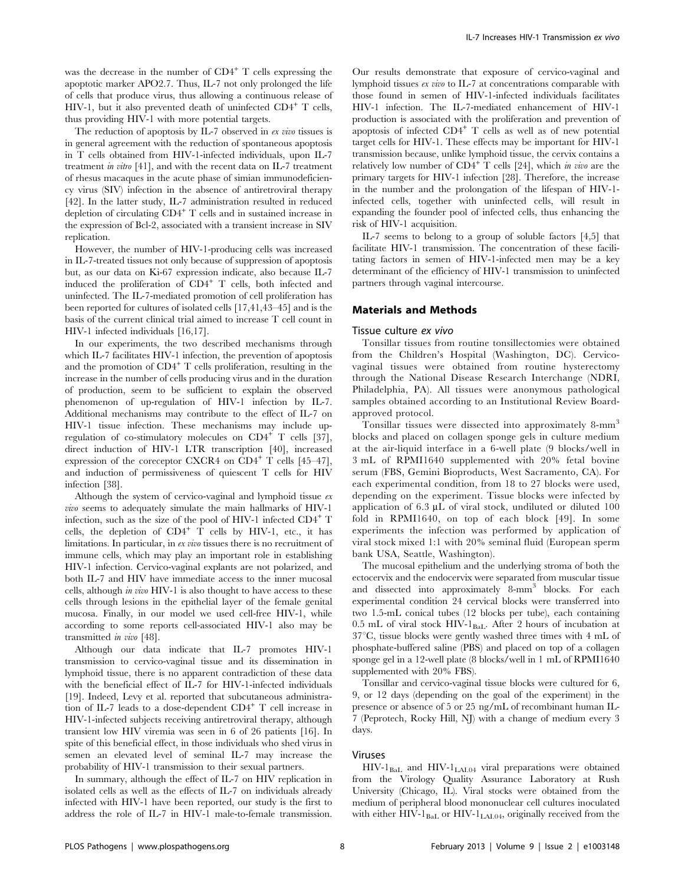was the decrease in the number of  $CD4^+$  T cells expressing the apoptotic marker APO2.7. Thus, IL-7 not only prolonged the life of cells that produce virus, thus allowing a continuous release of HIV-1, but it also prevented death of uninfected  $CD4^+$  T cells, thus providing HIV-1 with more potential targets.

The reduction of apoptosis by IL-7 observed in ex vivo tissues is in general agreement with the reduction of spontaneous apoptosis in T cells obtained from HIV-1-infected individuals, upon IL-7 treatment in vitro [41], and with the recent data on IL-7 treatment of rhesus macaques in the acute phase of simian immunodeficiency virus (SIV) infection in the absence of antiretroviral therapy [42]. In the latter study, IL-7 administration resulted in reduced depletion of circulating  $CD4^+$  T cells and in sustained increase in the expression of Bcl-2, associated with a transient increase in SIV replication.

However, the number of HIV-1-producing cells was increased in IL-7-treated tissues not only because of suppression of apoptosis but, as our data on Ki-67 expression indicate, also because IL-7 induced the proliferation of  $CD4^+$  T cells, both infected and uninfected. The IL-7-mediated promotion of cell proliferation has been reported for cultures of isolated cells [17,41,43–45] and is the basis of the current clinical trial aimed to increase T cell count in HIV-1 infected individuals [16,17].

In our experiments, the two described mechanisms through which IL-7 facilitates HIV-1 infection, the prevention of apoptosis and the promotion of  $CD4^+$  T cells proliferation, resulting in the increase in the number of cells producing virus and in the duration of production, seem to be sufficient to explain the observed phenomenon of up-regulation of HIV-1 infection by IL-7. Additional mechanisms may contribute to the effect of IL-7 on HIV-1 tissue infection. These mechanisms may include upregulation of co-stimulatory molecules on  $CD4^+$  T cells [37], direct induction of HIV-1 LTR transcription [40], increased expression of the coreceptor CXCR4 on  $CD4^+$  T cells [45–47], and induction of permissiveness of quiescent T cells for HIV infection [38].

Although the system of cervico-vaginal and lymphoid tissue  $ex$ vivo seems to adequately simulate the main hallmarks of HIV-1 infection, such as the size of the pool of HIV-1 infected  $CD4^+$  T cells, the depletion of  $CD4^+$  T cells by HIV-1, etc., it has limitations. In particular, in ex vivo tissues there is no recruitment of immune cells, which may play an important role in establishing HIV-1 infection. Cervico-vaginal explants are not polarized, and both IL-7 and HIV have immediate access to the inner mucosal cells, although in vivo HIV-1 is also thought to have access to these cells through lesions in the epithelial layer of the female genital mucosa. Finally, in our model we used cell-free HIV-1, while according to some reports cell-associated HIV-1 also may be transmitted in vivo [48].

Although our data indicate that IL-7 promotes HIV-1 transmission to cervico-vaginal tissue and its dissemination in lymphoid tissue, there is no apparent contradiction of these data with the beneficial effect of IL-7 for HIV-1-infected individuals [19]. Indeed, Levy et al. reported that subcutaneous administration of IL-7 leads to a dose-dependent  $CD4^+$  T cell increase in HIV-1-infected subjects receiving antiretroviral therapy, although transient low HIV viremia was seen in 6 of 26 patients [16]. In spite of this beneficial effect, in those individuals who shed virus in semen an elevated level of seminal IL-7 may increase the probability of HIV-1 transmission to their sexual partners.

In summary, although the effect of IL-7 on HIV replication in isolated cells as well as the effects of IL-7 on individuals already infected with HIV-1 have been reported, our study is the first to address the role of IL-7 in HIV-1 male-to-female transmission.

Our results demonstrate that exposure of cervico-vaginal and lymphoid tissues ex vivo to IL-7 at concentrations comparable with those found in semen of HIV-1-infected individuals facilitates HIV-1 infection. The IL-7-mediated enhancement of HIV-1 production is associated with the proliferation and prevention of apoptosis of infected  $CD4^+$  T cells as well as of new potential target cells for HIV-1. These effects may be important for HIV-1 transmission because, unlike lymphoid tissue, the cervix contains a relatively low number of  $CD4^+$  T cells [24], which in vivo are the primary targets for HIV-1 infection [28]. Therefore, the increase in the number and the prolongation of the lifespan of HIV-1 infected cells, together with uninfected cells, will result in expanding the founder pool of infected cells, thus enhancing the risk of HIV-1 acquisition.

IL-7 seems to belong to a group of soluble factors [4,5] that facilitate HIV-1 transmission. The concentration of these facilitating factors in semen of HIV-1-infected men may be a key determinant of the efficiency of HIV-1 transmission to uninfected partners through vaginal intercourse.

## Materials and Methods

## Tissue culture ex vivo

Tonsillar tissues from routine tonsillectomies were obtained from the Children's Hospital (Washington, DC). Cervicovaginal tissues were obtained from routine hysterectomy through the National Disease Research Interchange (NDRI, Philadelphia, PA). All tissues were anonymous pathological samples obtained according to an Institutional Review Boardapproved protocol.

Tonsillar tissues were dissected into approximately 8-mm<sup>3</sup> blocks and placed on collagen sponge gels in culture medium at the air-liquid interface in a 6-well plate (9 blocks/well in 3 mL of RPMI1640 supplemented with 20% fetal bovine serum (FBS, Gemini Bioproducts, West Sacramento, CA). For each experimental condition, from 18 to 27 blocks were used, depending on the experiment. Tissue blocks were infected by application of  $6.3 \mu L$  of viral stock, undiluted or diluted 100 fold in RPMI1640, on top of each block [49]. In some experiments the infection was performed by application of viral stock mixed 1:1 with 20% seminal fluid (European sperm bank USA, Seattle, Washington).

The mucosal epithelium and the underlying stroma of both the ectocervix and the endocervix were separated from muscular tissue and dissected into approximately 8-mm3 blocks. For each experimental condition 24 cervical blocks were transferred into two 1.5-mL conical tubes (12 blocks per tube), each containing 0.5 mL of viral stock HIV-1<sub>BaL</sub>. After 2 hours of incubation at  $37^{\circ}$ C, tissue blocks were gently washed three times with 4 mL of phosphate-buffered saline (PBS) and placed on top of a collagen sponge gel in a 12-well plate (8 blocks/well in 1 mL of RPMI1640 supplemented with 20% FBS).

Tonsillar and cervico-vaginal tissue blocks were cultured for 6, 9, or 12 days (depending on the goal of the experiment) in the presence or absence of 5 or 25 ng/mL of recombinant human IL-7 (Peprotech, Rocky Hill, NJ) with a change of medium every 3 days.

## Viruses

 $HIV-1<sub>BaL</sub>$  and  $HIV-1<sub>LAI.04</sub>$  viral preparations were obtained from the Virology Quality Assurance Laboratory at Rush University (Chicago, IL). Viral stocks were obtained from the medium of peripheral blood mononuclear cell cultures inoculated with either  $HIV-1<sub>BaL</sub>$  or  $HIV-1<sub>LAI.04</sub>$ , originally received from the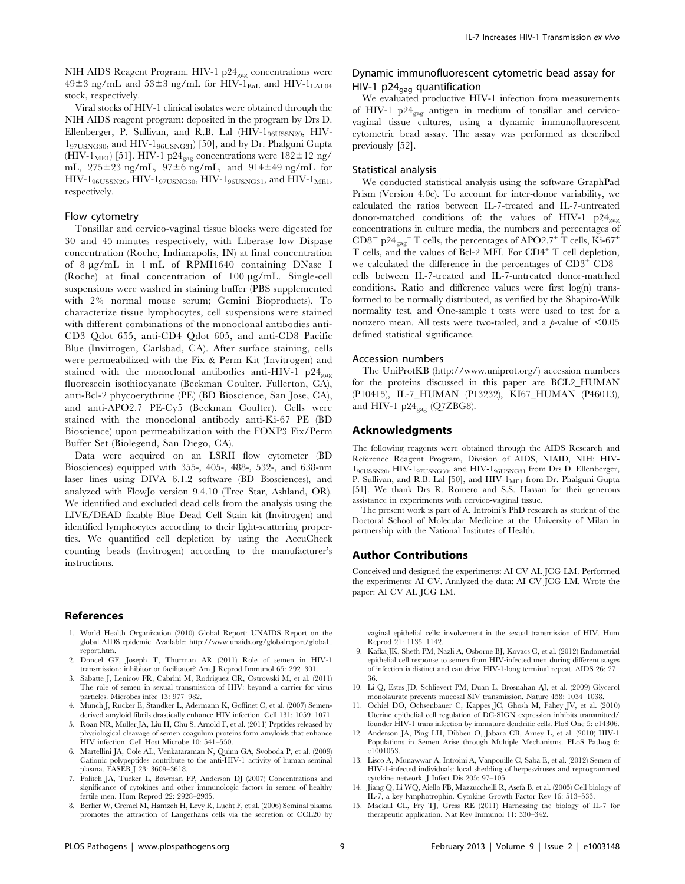NIH AIDS Reagent Program. HIV-1 p24<sub>gag</sub> concentrations were  $49\pm3$  ng/mL and  $53\pm3$  ng/mL for HIV-1<sub>BaL</sub> and HIV-1<sub>LAL04</sub> stock, respectively.

Viral stocks of HIV-1 clinical isolates were obtained through the NIH AIDS reagent program: deposited in the program by Drs D. Ellenberger, P. Sullivan, and R.B. Lal  $(HIV-1_{961JSSN20}$ ,  $HIV-1_{196JSSN20}$  $1_{97USNG30}$ , and HIV- $1_{96USNG31}$  [50], and by Dr. Phalguni Gupta (HIV-1<sub>ME1</sub>) [51]. HIV-1 p24<sub>gag</sub> concentrations were  $182 \pm 12$  ng/ mL,  $275\pm23$  ng/mL,  $97\pm6$  ng/mL, and  $914\pm49$  ng/mL for HIV- $1_{96USSN20}$ , HIV- $1_{97USNG30}$ , HIV- $1_{96USNG31}$ , and HIV- $1_{ME1}$ , respectively.

#### Flow cytometry

Tonsillar and cervico-vaginal tissue blocks were digested for 30 and 45 minutes respectively, with Liberase low Dispase concentration (Roche, Indianapolis, IN) at final concentration of 8 mg/mL in 1 mL of RPMI1640 containing DNase I (Roche) at final concentration of  $100 \mu g/mL$ . Single-cell suspensions were washed in staining buffer (PBS supplemented with 2% normal mouse serum; Gemini Bioproducts). To characterize tissue lymphocytes, cell suspensions were stained with different combinations of the monoclonal antibodies anti-CD3 Qdot 655, anti-CD4 Qdot 605, and anti-CD8 Pacific Blue (Invitrogen, Carlsbad, CA). After surface staining, cells were permeabilized with the Fix & Perm Kit (Invitrogen) and stained with the monoclonal antibodies anti-HIV-1  $p24_{\text{gag}}$ fluorescein isothiocyanate (Beckman Coulter, Fullerton, CA), anti-Bcl-2 phycoerythrine (PE) (BD Bioscience, San Jose, CA), and anti-APO2.7 PE-Cy5 (Beckman Coulter). Cells were stained with the monoclonal antibody anti-Ki-67 PE (BD Bioscience) upon permeabilization with the FOXP3 Fix/Perm Buffer Set (Biolegend, San Diego, CA).

Data were acquired on an LSRII flow cytometer (BD Biosciences) equipped with 355-, 405-, 488-, 532-, and 638-nm laser lines using DIVA 6.1.2 software (BD Biosciences), and analyzed with FlowJo version 9.4.10 (Tree Star, Ashland, OR). We identified and excluded dead cells from the analysis using the LIVE/DEAD fixable Blue Dead Cell Stain kit (Invitrogen) and identified lymphocytes according to their light-scattering properties. We quantified cell depletion by using the AccuCheck counting beads (Invitrogen) according to the manufacturer's instructions.

#### References

- 1. World Health Organization (2010) Global Report: UNAIDS Report on the global AIDS epidemic. Available: http://www.unaids.org/globalreport/global\_ report.htm.
- 2. Doncel GF, Joseph T, Thurman AR (2011) Role of semen in HIV-1 transmission: inhibitor or facilitator? Am J Reprod Immunol 65: 292–301.
- 3. Sabatte J, Lenicov FR, Cabrini M, Rodriguez CR, Ostrowski M, et al. (2011) The role of semen in sexual transmission of HIV: beyond a carrier for virus particles. Microbes infec 13: 977–982.
- 4. Munch J, Rucker E, Standker L, Adermann K, Goffinet C, et al. (2007) Semenderived amyloid fibrils drastically enhance HIV infection. Cell 131: 1059–1071.
- 5. Roan NR, Muller JA, Liu H, Chu S, Arnold F, et al. (2011) Peptides released by physiological cleavage of semen coagulum proteins form amyloids that enhance HIV infection. Cell Host Microbe 10: 541–550.
- 6. Martellini JA, Cole AL, Venkataraman N, Quinn GA, Svoboda P, et al. (2009) Cationic polypeptides contribute to the anti-HIV-1 activity of human seminal plasma. FASEB J 23: 3609–3618.
- 7. Politch JA, Tucker L, Bowman FP, Anderson DJ (2007) Concentrations and significance of cytokines and other immunologic factors in semen of healthy fertile men. Hum Reprod 22: 2928–2935.
- 8. Berlier W, Cremel M, Hamzeh H, Levy R, Lucht F, et al. (2006) Seminal plasma promotes the attraction of Langerhans cells via the secretion of CCL20 by

# Dynamic immunofluorescent cytometric bead assay for HIV-1  $p24_{\text{gaa}}$  quantification

We evaluated productive HIV-1 infection from measurements of HIV-1  $p24_{\text{gag}}$  antigen in medium of tonsillar and cervicovaginal tissue cultures, using a dynamic immunofluorescent cytometric bead assay. The assay was performed as described previously [52].

### Statistical analysis

We conducted statistical analysis using the software GraphPad Prism (Version 4.0c). To account for inter-donor variability, we calculated the ratios between IL-7-treated and IL-7-untreated donor-matched conditions of: the values of HIV-1  $p24_{\text{gag}}$ concentrations in culture media, the numbers and percentages of  $\text{CD8}^-$  p24<sub>gag</sub><sup>+</sup> T cells, the percentages of APO2.7<sup>+</sup> T cells, Ki-67<sup>+</sup> T cells, and the values of Bcl-2 MFI. For CD4<sup>+</sup> T cell depletion, we calculated the difference in the percentages of  $CD3^+$   $CD8^$ cells between IL-7-treated and IL-7-untreated donor-matched conditions. Ratio and difference values were first log(n) transformed to be normally distributed, as verified by the Shapiro-Wilk normality test, and One-sample t tests were used to test for a nonzero mean. All tests were two-tailed, and a  $p$ -value of  $< 0.05$ defined statistical significance.

### Accession numbers

The UniProtKB (http://www.uniprot.org/) accession numbers for the proteins discussed in this paper are BCL2\_HUMAN (P10415), IL-7\_HUMAN (P13232), KI67\_HUMAN (P46013), and HIV-1  $p24_{\text{gag}}$  (Q7ZBG8).

#### Acknowledgments

The following reagents were obtained through the AIDS Research and Reference Reagent Program, Division of AIDS, NIAID, NIH: HIV-196USSN20, HIV-197USNG30, and HIV-196USNG31 from Drs D. Ellenberger, P. Sullivan, and R.B. Lal [50], and HIV-1<sub>ME1</sub> from Dr. Phalguni Gupta [51]. We thank Drs R. Romero and S.S. Hassan for their generous assistance in experiments with cervico-vaginal tissue.

The present work is part of A. Introini's PhD research as student of the Doctoral School of Molecular Medicine at the University of Milan in partnership with the National Institutes of Health.

#### Author Contributions

Conceived and designed the experiments: AI CV AL JCG LM. Performed the experiments: AI CV. Analyzed the data: AI CV JCG LM. Wrote the paper: AI CV AL JCG LM.

vaginal epithelial cells: involvement in the sexual transmission of HIV. Hum Reprod 21: 1135–1142.

- 9. Kafka JK, Sheth PM, Nazli A, Osborne BJ, Kovacs C, et al. (2012) Endometrial epithelial cell response to semen from HIV-infected men during different stages of infection is distinct and can drive HIV-1-long terminal repeat. AIDS 26: 27– 36.
- 10. Li Q, Estes JD, Schlievert PM, Duan L, Brosnahan AJ, et al. (2009) Glycerol monolaurate prevents mucosal SIV transmission. Nature 458: 1034–1038.
- 11. Ochiel DO, Ochsenbauer C, Kappes JC, Ghosh M, Fahey JV, et al. (2010) Uterine epithelial cell regulation of DC-SIGN expression inhibits transmitted/ founder HIV-1 trans infection by immature dendritic cells. PloS One 5: e14306.
- 12. Anderson JA, Ping LH, Dibben O, Jabara CB, Arney L, et al. (2010) HIV-1 Populations in Semen Arise through Multiple Mechanisms. PLoS Pathog 6: e1001053.
- 13. Lisco A, Munawwar A, Introini A, Vanpouille C, Saba E, et al. (2012) Semen of HIV-1-infected individuals: local shedding of herpesviruses and reprogrammed cytokine network. J Infect Dis 205: 97–105.
- 14. Jiang Q, Li WQ, Aiello FB, Mazzucchelli R, Asefa B, et al. (2005) Cell biology of IL-7, a key lymphotrophin. Cytokine Growth Factor Rev 16: 513–533.
- 15. Mackall CL, Fry TJ, Gress RE (2011) Harnessing the biology of IL-7 for therapeutic application. Nat Rev Immunol 11: 330–342.